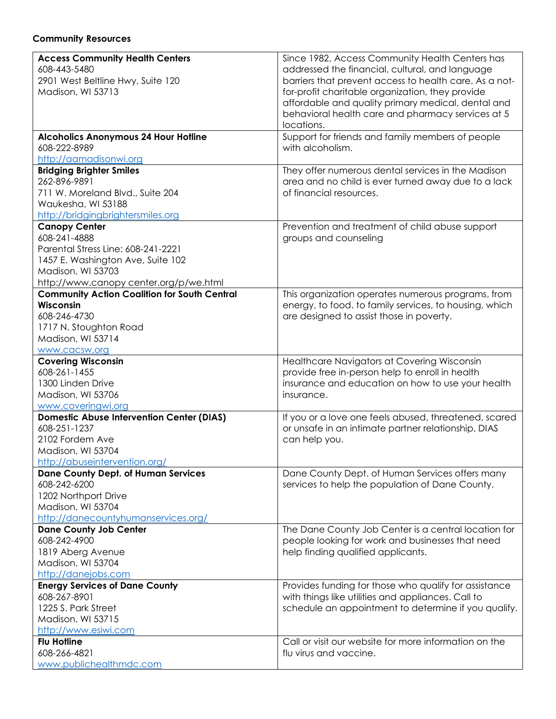## **Community Resources**

| <b>Access Community Health Centers</b>              | Since 1982, Access Community Health Centers has                 |
|-----------------------------------------------------|-----------------------------------------------------------------|
| 608-443-5480                                        | addressed the financial, cultural, and language                 |
| 2901 West Beltline Hwy, Suite 120                   | barriers that prevent access to health care. As a not-          |
| Madison, WI 53713                                   | for-profit charitable organization, they provide                |
|                                                     | affordable and quality primary medical, dental and              |
|                                                     | behavioral health care and pharmacy services at 5               |
|                                                     | locations.                                                      |
| <b>Alcoholics Anonymous 24 Hour Hotline</b>         | Support for friends and family members of people                |
| 608-222-8989                                        | with alcoholism.                                                |
| http://aamadisonwi.org                              |                                                                 |
| <b>Bridging Brighter Smiles</b>                     | They offer numerous dental services in the Madison              |
| 262-896-9891                                        | area and no child is ever turned away due to a lack             |
| 711 W. Moreland Blvd., Suite 204                    | of financial resources.                                         |
| Waukesha, WI 53188                                  |                                                                 |
| http://bridgingbrightersmiles.org                   |                                                                 |
| <b>Canopy Center</b>                                | Prevention and treatment of child abuse support                 |
| 608-241-4888                                        | groups and counseling                                           |
| Parental Stress Line: 608-241-2221                  |                                                                 |
| 1457 E. Washington Ave, Suite 102                   |                                                                 |
| Madison, WI 53703                                   |                                                                 |
| http://www.canopy center.org/p/we.html              |                                                                 |
| <b>Community Action Coalition for South Central</b> | This organization operates numerous programs, from              |
| Wisconsin                                           | energy, to food. to family services, to housing, which          |
| 608-246-4730                                        | are designed to assist those in poverty.                        |
| 1717 N. Stoughton Road                              |                                                                 |
| Madison, WI 53714                                   |                                                                 |
| www.cacsw.org                                       |                                                                 |
| <b>Covering Wisconsin</b>                           | Healthcare Navigators at Covering Wisconsin                     |
| 608-261-1455<br>1300 Linden Drive                   | provide free in-person help to enroll in health                 |
| Madison, WI 53706                                   | insurance and education on how to use your health<br>insurance. |
| www.coveringwi.org                                  |                                                                 |
| <b>Domestic Abuse Intervention Center (DIAS)</b>    | If you or a love one feels abused, threatened, scared           |
| 608-251-1237                                        | or unsafe in an intimate partner relationship, DIAS             |
| 2102 Fordem Ave                                     | can help you.                                                   |
| Madison, WI 53704                                   |                                                                 |
| http://abuseintervention.org/                       |                                                                 |
| <b>Dane County Dept. of Human Services</b>          | Dane County Dept. of Human Services offers many                 |
| 608-242-6200                                        | services to help the population of Dane County.                 |
| 1202 Northport Drive                                |                                                                 |
| Madison, WI 53704                                   |                                                                 |
| http://danecountyhumanservices.org/                 |                                                                 |
| <b>Dane County Job Center</b>                       | The Dane County Job Center is a central location for            |
| 608-242-4900                                        | people looking for work and businesses that need                |
| 1819 Aberg Avenue                                   | help finding qualified applicants.                              |
| Madison, WI 53704                                   |                                                                 |
| http://danejobs.com                                 |                                                                 |
| <b>Energy Services of Dane County</b>               | Provides funding for those who qualify for assistance           |
| 608-267-8901                                        | with things like utilities and appliances. Call to              |
| 1225 S. Park Street                                 | schedule an appointment to determine if you qualify.            |
| Madison, WI 53715                                   |                                                                 |
| http://www.esiwi.com                                |                                                                 |
| <b>Flu Hotline</b>                                  | Call or visit our website for more information on the           |
| 608-266-4821                                        | flu virus and vaccine.                                          |
| www.publichealthmdc.com                             |                                                                 |